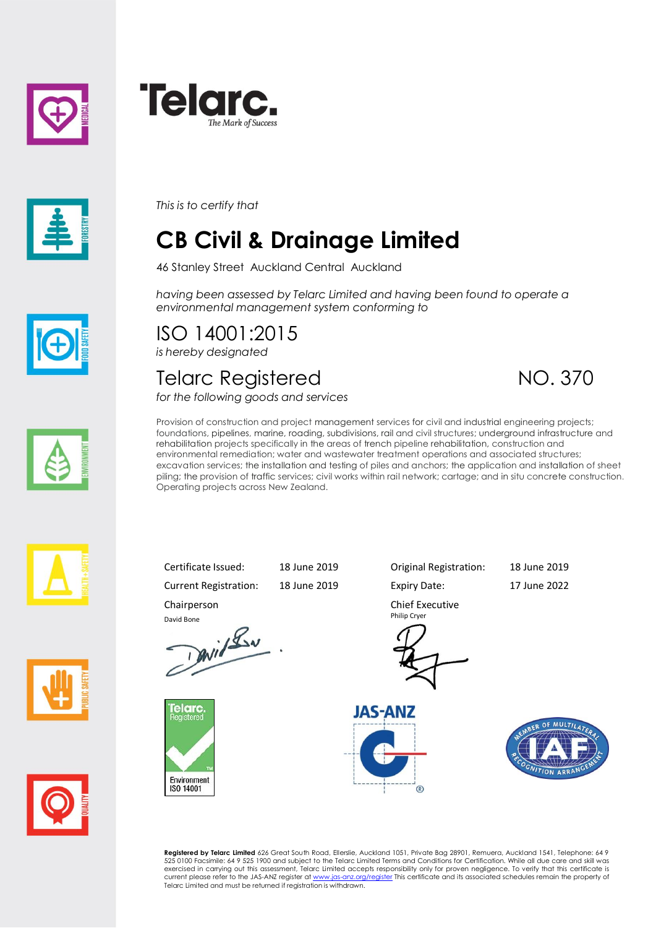





*This is to certify that*

# **CB Civil & Drainage Limited**

46 Stanley Street Auckland Central Auckland

*having been assessed by Telarc Limited and having been found to operate a environmental management system conforming to*

ISO 14001:2015 *is hereby designated*

Chairperson

elarc.

Environment ISO 14001

David Bone<br>David Lav

#### Telarc Registered NO. 370

*for the following goods and services*





Provision of construction and project management services for civil and industrial engineering projects; foundations, pipelines, marine, roading, subdivisions, rail and civil structures; underground infrastructure and rehabilitation projects specifically in the areas of trench pipeline rehabilitation, construction and environmental remediation; water and wastewater treatment operations and associated structures; excavation services; the installation and testing of piles and anchors; the application and installation of sheet piling; the provision of traffic services; civil works within rail network; cartage; and in situ concrete construction. Operating projects across New Zealand.









Current Registration: 18 June 2019 Expiry Date: 17 June 2022

Certificate Issued: 18 June 2019 Original Registration: 18 June 2019

Chief Executive Philip Cryer







**Registered by Telarc Limited** 626 Great South Road, Ellerslie, Auckland 1051, Private Bag 28901, Remuera, Auckland 1541, Telephone: 64 9<br>525 0100 Facsimile: 64 9 525 1900 and subject to the Telarc Limited Terms and Condit current please refer to the JAS-ANZ register a[t www.jas-anz.org/register](file://///TRITON/docs/Certificates%20&%20Schedules/www.jas-anz.org/register) This certificate and its associated schedules remain the property of Telarc Limited and must be returned if registration is withdrawn.